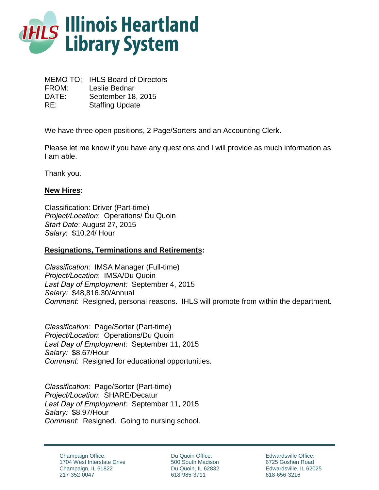

MEMO TO: IHLS Board of Directors FROM: Leslie Bednar DATE: September 18, 2015 RE: Staffing Update

We have three open positions, 2 Page/Sorters and an Accounting Clerk.

Please let me know if you have any questions and I will provide as much information as I am able.

Thank you.

## **New Hires:**

Classification: Driver (Part-time) *Project/Location*: Operations/ Du Quoin *Start Date*: August 27, 2015 *Salary*: \$10.24/ Hour

## **Resignations, Terminations and Retirements:**

*Classification:* IMSA Manager (Full-time) *Project/Location*: IMSA/Du Quoin *Last Day of Employment:* September 4, 2015 *Salary:* \$48,816.30/Annual *Comment*: Resigned, personal reasons. IHLS will promote from within the department.

*Classification:* Page/Sorter (Part-time) *Project/Location*: Operations/Du Quoin *Last Day of Employment:* September 11, 2015 *Salary:* \$8.67/Hour *Comment*: Resigned for educational opportunities*.* 

*Classification:* Page/Sorter (Part-time) *Project/Location*: SHARE/Decatur *Last Day of Employment:* September 11, 2015 *Salary:* \$8.97/Hour *Comment*: Resigned. Going to nursing school.

Du Quoin Office: 500 South Madison Du Quoin, IL 62832 618-985-3711

Edwardsville Office: 6725 Goshen Road Edwardsville, IL 62025 618-656-3216